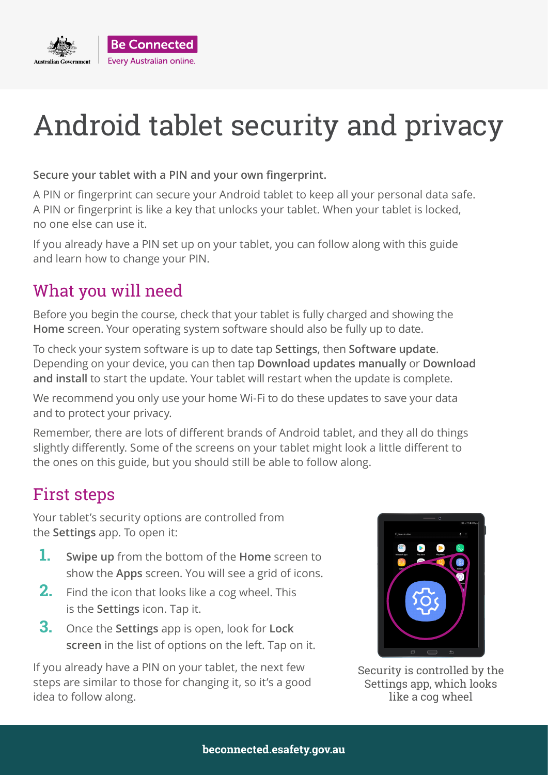

#### **Secure your tablet with a PIN and your own fingerprint.**

A PIN or fingerprint can secure your Android tablet to keep all your personal data safe. A PIN or fingerprint is like a key that unlocks your tablet. When your tablet is locked, no one else can use it.

If you already have a PIN set up on your tablet, you can follow along with this guide and learn how to change your PIN.

### What you will need

Before you begin the course, check that your tablet is fully charged and showing the **Home** screen. Your operating system software should also be fully up to date.

To check your system software is up to date tap **Settings**, then **Software update**. Depending on your device, you can then tap **Download updates manually** or **Download and install** to start the update. Your tablet will restart when the update is complete.

We recommend you only use your home Wi-Fi to do these updates to save your data and to protect your privacy.

Remember, there are lots of different brands of Android tablet, and they all do things slightly differently. Some of the screens on your tablet might look a little different to the ones on this guide, but you should still be able to follow along.

### First steps

Your tablet's security options are controlled from the **Settings** app. To open it:

- **1. Swipe up** from the bottom of the **Home** screen to show the **Apps** screen. You will see a grid of icons.
- **2.** Find the icon that looks like a cog wheel. This is the **Settings** icon. Tap it.
- **3.** Once the **Settings** app is open, look for **Lock screen** in the list of options on the left. Tap on it.

If you already have a PIN on your tablet, the next few steps are similar to those for changing it, so it's a good idea to follow along.



Security is controlled by the Settings app, which looks like a cog wheel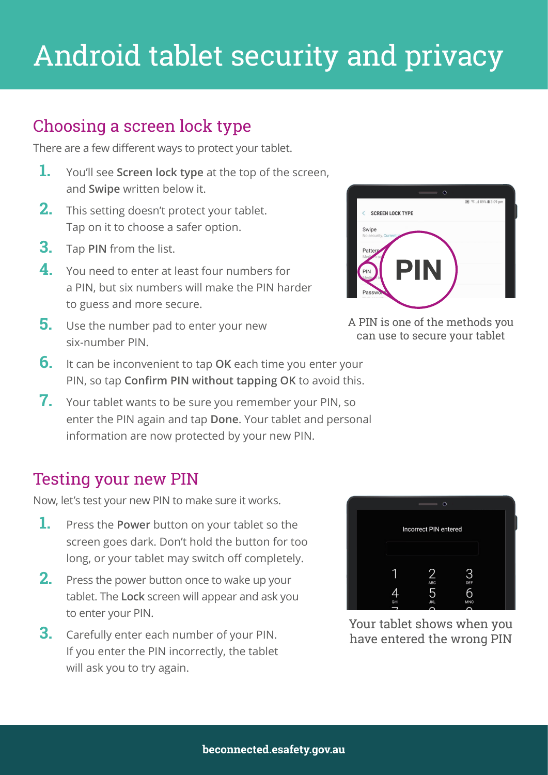## Choosing a screen lock type

There are a few different ways to protect your tablet.

- **1.** You'll see **Screen lock type** at the top of the screen, and **Swipe** written below it.
- **2.** This setting doesn't protect your tablet. Tap on it to choose a safer option.
- **3.** Tap **PIN** from the list.
- **4.** You need to enter at least four numbers for a PIN, but six numbers will make the PIN harder to guess and more secure.
- **5.** Use the number pad to enter your new six-number PIN.
- **6.** It can be inconvenient to tap **OK** each time you enter your PIN, so tap **Confirm PIN without tapping OK** to avoid this.
- **7.** Your tablet wants to be sure you remember your PIN, so enter the PIN again and tap **Done**. Your tablet and personal information are now protected by your new PIN.

#### Testing your new PIN

Now, let's test your new PIN to make sure it works.

- **1.** Press the **Power** button on your tablet so the screen goes dark. Don't hold the button for too long, or your tablet may switch off completely.
- **2.** Press the power button once to wake up your tablet. The **Lock** screen will appear and ask you to enter your PIN.
- **3.** Carefully enter each number of your PIN. If you enter the PIN incorrectly, the tablet will ask you to try again.



Your tablet shows when you have entered the wrong PIN



A PIN is one of the methods you can use to secure your tablet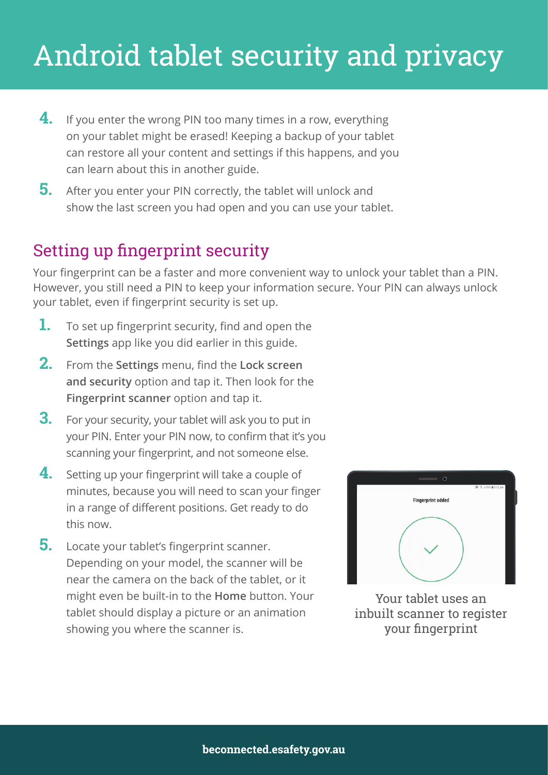- **4.** If you enter the wrong PIN too many times in a row, everything on your tablet might be erased! Keeping a backup of your tablet can restore all your content and settings if this happens, and you can learn about this in another guide.
- **5.** After you enter your PIN correctly, the tablet will unlock and show the last screen you had open and you can use your tablet.

### Setting up fingerprint security

Your fingerprint can be a faster and more convenient way to unlock your tablet than a PIN. However, you still need a PIN to keep your information secure. Your PIN can always unlock your tablet, even if fingerprint security is set up.

- **1.** To set up fingerprint security, find and open the **Settings** app like you did earlier in this guide.
- **2.** From the **Settings** menu, find the **Lock screen and security** option and tap it. Then look for the **Fingerprint scanner** option and tap it.
- **3.** For your security, your tablet will ask you to put in your PIN. Enter your PIN now, to confirm that it's you scanning your fingerprint, and not someone else.
- **4.** Setting up your fingerprint will take a couple of minutes, because you will need to scan your finger in a range of different positions. Get ready to do this now.
- **5.** Locate your tablet's fingerprint scanner. Depending on your model, the scanner will be near the camera on the back of the tablet, or it might even be built-in to the **Home** button. Your tablet should display a picture or an animation showing you where the scanner is.



Your tablet uses an inbuilt scanner to register your fingerprint